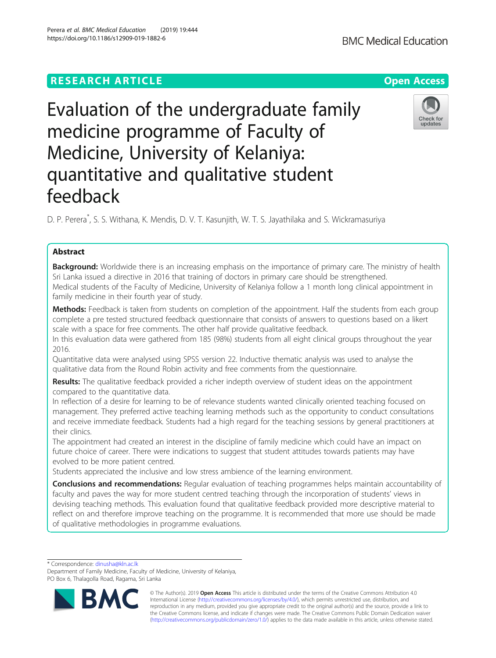# **RESEARCH ARTICLE Example 2018 12:30 THE OPEN ACCESS**

# Evaluation of the undergraduate family medicine programme of Faculty of Medicine, University of Kelaniya: quantitative and qualitative student feedback

D. P. Perera\* , S. S. Withana, K. Mendis, D. V. T. Kasunjith, W. T. S. Jayathilaka and S. Wickramasuriya

# Abstract

**Background:** Worldwide there is an increasing emphasis on the importance of primary care. The ministry of health Sri Lanka issued a directive in 2016 that training of doctors in primary care should be strengthened. Medical students of the Faculty of Medicine, University of Kelaniya follow a 1 month long clinical appointment in family medicine in their fourth year of study.

Methods: Feedback is taken from students on completion of the appointment. Half the students from each group complete a pre tested structured feedback questionnaire that consists of answers to questions based on a likert scale with a space for free comments. The other half provide qualitative feedback.

In this evaluation data were gathered from 185 (98%) students from all eight clinical groups throughout the year 2016.

Quantitative data were analysed using SPSS version 22. Inductive thematic analysis was used to analyse the qualitative data from the Round Robin activity and free comments from the questionnaire.

Results: The qualitative feedback provided a richer indepth overview of student ideas on the appointment compared to the quantitative data.

In reflection of a desire for learning to be of relevance students wanted clinically oriented teaching focused on management. They preferred active teaching learning methods such as the opportunity to conduct consultations and receive immediate feedback. Students had a high regard for the teaching sessions by general practitioners at their clinics.

The appointment had created an interest in the discipline of family medicine which could have an impact on future choice of career. There were indications to suggest that student attitudes towards patients may have evolved to be more patient centred.

Students appreciated the inclusive and low stress ambience of the learning environment.

**Conclusions and recommendations:** Regular evaluation of teaching programmes helps maintain accountability of faculty and paves the way for more student centred teaching through the incorporation of students' views in devising teaching methods. This evaluation found that qualitative feedback provided more descriptive material to reflect on and therefore improve teaching on the programme. It is recommended that more use should be made of qualitative methodologies in programme evaluations.

\* Correspondence: [dinusha@kln.ac.lk](mailto:dinusha@kln.ac.lk)

© The Author(s). 2019 **Open Access** This article is distributed under the terms of the Creative Commons Attribution 4.0 International License [\(http://creativecommons.org/licenses/by/4.0/](http://creativecommons.org/licenses/by/4.0/)), which permits unrestricted use, distribution, and reproduction in any medium, provided you give appropriate credit to the original author(s) and the source, provide a link to the Creative Commons license, and indicate if changes were made. The Creative Commons Public Domain Dedication waiver [\(http://creativecommons.org/publicdomain/zero/1.0/](http://creativecommons.org/publicdomain/zero/1.0/)) applies to the data made available in this article, unless otherwise stated.





Department of Family Medicine, Faculty of Medicine, University of Kelaniya, PO Box 6, Thalagolla Road, Ragama, Sri Lanka

Perera et al. BMC Medical Education (2019) 19:444 https://doi.org/10.1186/s12909-019-1882-6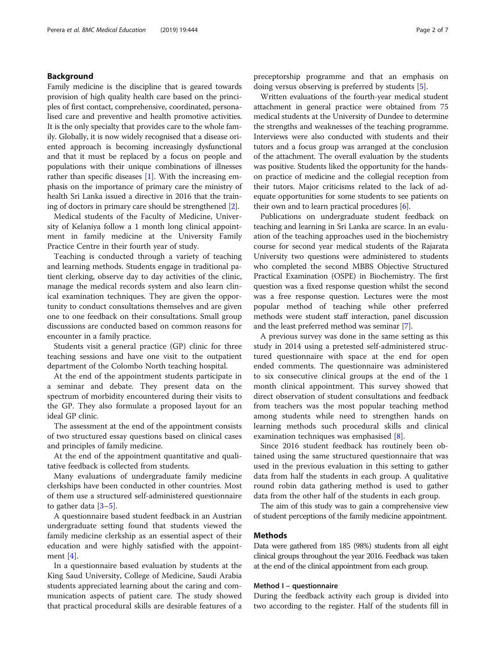# Background

Family medicine is the discipline that is geared towards provision of high quality health care based on the principles of first contact, comprehensive, coordinated, personalised care and preventive and health promotive activities. It is the only specialty that provides care to the whole family. Globally, it is now widely recognised that a disease oriented approach is becoming increasingly dysfunctional and that it must be replaced by a focus on people and populations with their unique combinations of illnesses rather than specific diseases [[1\]](#page-6-0). With the increasing emphasis on the importance of primary care the ministry of health Sri Lanka issued a directive in 2016 that the training of doctors in primary care should be strengthened [[2](#page-6-0)].

Medical students of the Faculty of Medicine, University of Kelaniya follow a 1 month long clinical appointment in family medicine at the University Family Practice Centre in their fourth year of study.

Teaching is conducted through a variety of teaching and learning methods. Students engage in traditional patient clerking, observe day to day activities of the clinic, manage the medical records system and also learn clinical examination techniques. They are given the opportunity to conduct consultations themselves and are given one to one feedback on their consultations. Small group discussions are conducted based on common reasons for encounter in a family practice.

Students visit a general practice (GP) clinic for three teaching sessions and have one visit to the outpatient department of the Colombo North teaching hospital.

At the end of the appointment students participate in a seminar and debate. They present data on the spectrum of morbidity encountered during their visits to the GP. They also formulate a proposed layout for an ideal GP clinic.

The assessment at the end of the appointment consists of two structured essay questions based on clinical cases and principles of family medicine.

At the end of the appointment quantitative and qualitative feedback is collected from students.

Many evaluations of undergraduate family medicine clerkships have been conducted in other countries. Most of them use a structured self-administered questionnaire to gather data  $[3-5]$  $[3-5]$  $[3-5]$  $[3-5]$ .

A questionnaire based student feedback in an Austrian undergraduate setting found that students viewed the family medicine clerkship as an essential aspect of their education and were highly satisfied with the appointment [[4\]](#page-6-0).

In a questionnaire based evaluation by students at the King Saud University, College of Medicine, Saudi Arabia students appreciated learning about the caring and communication aspects of patient care. The study showed that practical procedural skills are desirable features of a preceptorship programme and that an emphasis on doing versus observing is preferred by students [[5\]](#page-6-0).

Written evaluations of the fourth-year medical student attachment in general practice were obtained from 75 medical students at the University of Dundee to determine the strengths and weaknesses of the teaching programme. Interviews were also conducted with students and their tutors and a focus group was arranged at the conclusion of the attachment. The overall evaluation by the students was positive. Students liked the opportunity for the handson practice of medicine and the collegial reception from their tutors. Major criticisms related to the lack of adequate opportunities for some students to see patients on their own and to learn practical procedures  $[6]$  $[6]$ .

Publications on undergraduate student feedback on teaching and learning in Sri Lanka are scarce. In an evaluation of the teaching approaches used in the biochemistry course for second year medical students of the Rajarata University two questions were administered to students who completed the second MBBS Objective Structured Practical Examination (OSPE) in Biochemistry. The first question was a fixed response question whilst the second was a free response question. Lectures were the most popular method of teaching while other preferred methods were student staff interaction, panel discussion and the least preferred method was seminar [[7\]](#page-6-0).

A previous survey was done in the same setting as this study in 2014 using a pretested self-administered structured questionnaire with space at the end for open ended comments. The questionnaire was administered to six consecutive clinical groups at the end of the 1 month clinical appointment. This survey showed that direct observation of student consultations and feedback from teachers was the most popular teaching method among students while need to strengthen hands on learning methods such procedural skills and clinical examination techniques was emphasised [\[8](#page-6-0)].

Since 2016 student feedback has routinely been obtained using the same structured questionnaire that was used in the previous evaluation in this setting to gather data from half the students in each group. A qualitative round robin data gathering method is used to gather data from the other half of the students in each group.

The aim of this study was to gain a comprehensive view of student perceptions of the family medicine appointment.

# Methods

Data were gathered from 185 (98%) students from all eight clinical groups throughout the year 2016. Feedback was taken at the end of the clinical appointment from each group.

#### Method I – questionnaire

During the feedback activity each group is divided into two according to the register. Half of the students fill in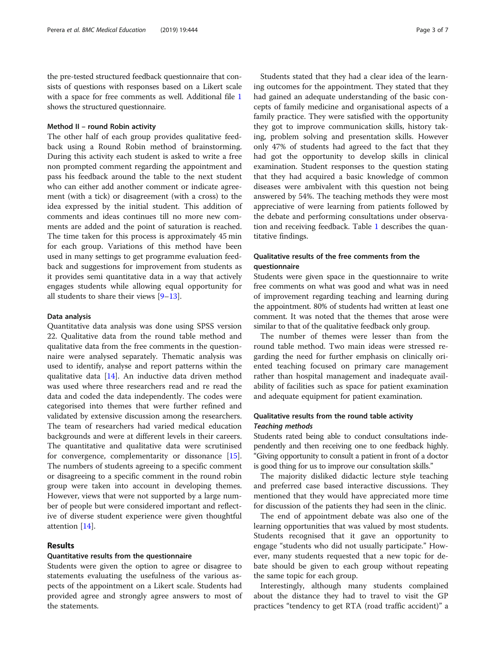the pre-tested structured feedback questionnaire that consists of questions with responses based on a Likert scale with a space for free comments as well. Additional file [1](#page-5-0) shows the structured questionnaire.

#### Method II – round Robin activity

The other half of each group provides qualitative feedback using a Round Robin method of brainstorming. During this activity each student is asked to write a free non prompted comment regarding the appointment and pass his feedback around the table to the next student who can either add another comment or indicate agreement (with a tick) or disagreement (with a cross) to the idea expressed by the initial student. This addition of comments and ideas continues till no more new comments are added and the point of saturation is reached. The time taken for this process is approximately 45 min for each group. Variations of this method have been used in many settings to get programme evaluation feedback and suggestions for improvement from students as it provides semi quantitative data in a way that actively engages students while allowing equal opportunity for all students to share their views [\[9](#page-6-0)–[13\]](#page-6-0).

## Data analysis

Quantitative data analysis was done using SPSS version 22. Qualitative data from the round table method and qualitative data from the free comments in the questionnaire were analysed separately. Thematic analysis was used to identify, analyse and report patterns within the qualitative data [\[14](#page-6-0)]. An inductive data driven method was used where three researchers read and re read the data and coded the data independently. The codes were categorised into themes that were further refined and validated by extensive discussion among the researchers. The team of researchers had varied medical education backgrounds and were at different levels in their careers. The quantitative and qualitative data were scrutinised for convergence, complementarity or dissonance [\[15](#page-6-0)]. The numbers of students agreeing to a specific comment or disagreeing to a specific comment in the round robin group were taken into account in developing themes. However, views that were not supported by a large number of people but were considered important and reflective of diverse student experience were given thoughtful attention [[14](#page-6-0)].

# Results

# Quantitative results from the questionnaire

Students were given the option to agree or disagree to statements evaluating the usefulness of the various aspects of the appointment on a Likert scale. Students had provided agree and strongly agree answers to most of the statements.

Students stated that they had a clear idea of the learning outcomes for the appointment. They stated that they had gained an adequate understanding of the basic concepts of family medicine and organisational aspects of a family practice. They were satisfied with the opportunity they got to improve communication skills, history taking, problem solving and presentation skills. However only 47% of students had agreed to the fact that they had got the opportunity to develop skills in clinical examination. Student responses to the question stating that they had acquired a basic knowledge of common diseases were ambivalent with this question not being answered by 54%. The teaching methods they were most appreciative of were learning from patients followed by the debate and performing consultations under observation and receiving feedback. Table [1](#page-3-0) describes the quantitative findings.

# Qualitative results of the free comments from the questionnaire

Students were given space in the questionnaire to write free comments on what was good and what was in need of improvement regarding teaching and learning during the appointment. 80% of students had written at least one comment. It was noted that the themes that arose were similar to that of the qualitative feedback only group.

The number of themes were lesser than from the round table method. Two main ideas were stressed regarding the need for further emphasis on clinically oriented teaching focused on primary care management rather than hospital management and inadequate availability of facilities such as space for patient examination and adequate equipment for patient examination.

# Qualitative results from the round table activity Teaching methods

Students rated being able to conduct consultations independently and then receiving one to one feedback highly. "Giving opportunity to consult a patient in front of a doctor is good thing for us to improve our consultation skills."

The majority disliked didactic lecture style teaching and preferred case based interactive discussions. They mentioned that they would have appreciated more time for discussion of the patients they had seen in the clinic.

The end of appointment debate was also one of the learning opportunities that was valued by most students. Students recognised that it gave an opportunity to engage "students who did not usually participate." However, many students requested that a new topic for debate should be given to each group without repeating the same topic for each group.

Interestingly, although many students complained about the distance they had to travel to visit the GP practices "tendency to get RTA (road traffic accident)" a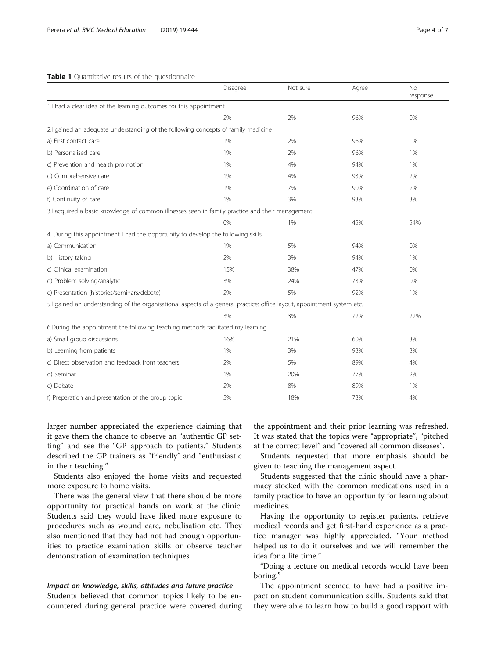#### <span id="page-3-0"></span>Table 1 Quantitative results of the questionnaire

|                                                                                                                         | Disagree | Not sure | Agree | <b>No</b><br>response |
|-------------------------------------------------------------------------------------------------------------------------|----------|----------|-------|-----------------------|
| 1.I had a clear idea of the learning outcomes for this appointment                                                      |          |          |       |                       |
|                                                                                                                         | 2%       | 2%       | 96%   | 0%                    |
| 2.I gained an adequate understanding of the following concepts of family medicine                                       |          |          |       |                       |
| a) First contact care                                                                                                   | 1%       | 2%       | 96%   | 1%                    |
| b) Personalised care                                                                                                    | 1%       | 2%       | 96%   | 1%                    |
| c) Prevention and health promotion                                                                                      | 1%       | 4%       | 94%   | 1%                    |
| d) Comprehensive care                                                                                                   | 1%       | 4%       | 93%   | 2%                    |
| e) Coordination of care                                                                                                 | 1%       | 7%       | 90%   | 2%                    |
| f) Continuity of care                                                                                                   | 1%       | 3%       | 93%   | 3%                    |
| 3.1 acquired a basic knowledge of common illnesses seen in family practice and their management                         |          |          |       |                       |
|                                                                                                                         | 0%       | 1%       | 45%   | 54%                   |
| 4. During this appointment I had the opportunity to develop the following skills                                        |          |          |       |                       |
| a) Communication                                                                                                        | 1%       | 5%       | 94%   | 0%                    |
| b) History taking                                                                                                       | 2%       | 3%       | 94%   | 1%                    |
| c) Clinical examination                                                                                                 | 15%      | 38%      | 47%   | 0%                    |
| d) Problem solving/analytic                                                                                             | 3%       | 24%      | 73%   | 0%                    |
| e) Presentation (histories/seminars/debate)                                                                             | 2%       | 5%       | 92%   | 1%                    |
| 5.I gained an understanding of the organisational aspects of a general practice: office layout, appointment system etc. |          |          |       |                       |
|                                                                                                                         | 3%       | 3%       | 72%   | 22%                   |
| 6.During the appointment the following teaching methods facilitated my learning                                         |          |          |       |                       |
| a) Small group discussions                                                                                              | 16%      | 21%      | 60%   | 3%                    |
| b) Learning from patients                                                                                               | 1%       | 3%       | 93%   | 3%                    |
| c) Direct observation and feedback from teachers                                                                        | 2%       | 5%       | 89%   | 4%                    |
| d) Seminar                                                                                                              | 1%       | 20%      | 77%   | 2%                    |
| e) Debate                                                                                                               | 2%       | 8%       | 89%   | 1%                    |
| f) Preparation and presentation of the group topic                                                                      | 5%       | 18%      | 73%   | 4%                    |

larger number appreciated the experience claiming that it gave them the chance to observe an "authentic GP setting" and see the "GP approach to patients." Students described the GP trainers as "friendly" and "enthusiastic in their teaching."

Students also enjoyed the home visits and requested more exposure to home visits.

There was the general view that there should be more opportunity for practical hands on work at the clinic. Students said they would have liked more exposure to procedures such as wound care, nebulisation etc. They also mentioned that they had not had enough opportunities to practice examination skills or observe teacher demonstration of examination techniques.

#### Impact on knowledge, skills, attitudes and future practice

Students believed that common topics likely to be encountered during general practice were covered during

the appointment and their prior learning was refreshed. It was stated that the topics were "appropriate", "pitched at the correct level" and "covered all common diseases".

Students requested that more emphasis should be given to teaching the management aspect.

Students suggested that the clinic should have a pharmacy stocked with the common medications used in a family practice to have an opportunity for learning about medicines.

Having the opportunity to register patients, retrieve medical records and get first-hand experience as a practice manager was highly appreciated. "Your method helped us to do it ourselves and we will remember the idea for a life time."

"Doing a lecture on medical records would have been boring."

The appointment seemed to have had a positive impact on student communication skills. Students said that they were able to learn how to build a good rapport with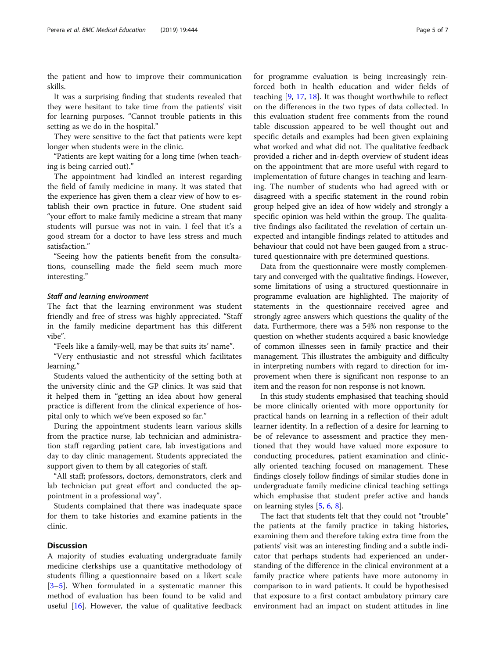the patient and how to improve their communication skills.

It was a surprising finding that students revealed that they were hesitant to take time from the patients' visit for learning purposes. "Cannot trouble patients in this setting as we do in the hospital."

They were sensitive to the fact that patients were kept longer when students were in the clinic.

"Patients are kept waiting for a long time (when teaching is being carried out)."

The appointment had kindled an interest regarding the field of family medicine in many. It was stated that the experience has given them a clear view of how to establish their own practice in future. One student said "your effort to make family medicine a stream that many students will pursue was not in vain. I feel that it's a good stream for a doctor to have less stress and much satisfaction."

"Seeing how the patients benefit from the consultations, counselling made the field seem much more interesting."

#### Staff and learning environment

The fact that the learning environment was student friendly and free of stress was highly appreciated. "Staff in the family medicine department has this different vibe".

"Feels like a family-well, may be that suits its' name".

"Very enthusiastic and not stressful which facilitates learning."

Students valued the authenticity of the setting both at the university clinic and the GP clinics. It was said that it helped them in "getting an idea about how general practice is different from the clinical experience of hospital only to which we've been exposed so far."

During the appointment students learn various skills from the practice nurse, lab technician and administration staff regarding patient care, lab investigations and day to day clinic management. Students appreciated the support given to them by all categories of staff.

"All staff; professors, doctors, demonstrators, clerk and lab technician put great effort and conducted the appointment in a professional way".

Students complained that there was inadequate space for them to take histories and examine patients in the clinic.

# **Discussion**

A majority of studies evaluating undergraduate family medicine clerkships use a quantitative methodology of students filling a questionnaire based on a likert scale [[3](#page-6-0)–[5\]](#page-6-0). When formulated in a systematic manner this method of evaluation has been found to be valid and useful  $[16]$  $[16]$ . However, the value of qualitative feedback

for programme evaluation is being increasingly reinforced both in health education and wider fields of teaching [\[9](#page-6-0), [17,](#page-6-0) [18\]](#page-6-0). It was thought worthwhile to reflect on the differences in the two types of data collected. In this evaluation student free comments from the round table discussion appeared to be well thought out and specific details and examples had been given explaining what worked and what did not. The qualitative feedback provided a richer and in-depth overview of student ideas on the appointment that are more useful with regard to implementation of future changes in teaching and learning. The number of students who had agreed with or disagreed with a specific statement in the round robin group helped give an idea of how widely and strongly a specific opinion was held within the group. The qualitative findings also facilitated the revelation of certain unexpected and intangible findings related to attitudes and behaviour that could not have been gauged from a structured questionnaire with pre determined questions.

Data from the questionnaire were mostly complementary and converged with the qualitative findings. However, some limitations of using a structured questionnaire in programme evaluation are highlighted. The majority of statements in the questionnaire received agree and strongly agree answers which questions the quality of the data. Furthermore, there was a 54% non response to the question on whether students acquired a basic knowledge of common illnesses seen in family practice and their management. This illustrates the ambiguity and difficulty in interpreting numbers with regard to direction for improvement when there is significant non response to an item and the reason for non response is not known.

In this study students emphasised that teaching should be more clinically oriented with more opportunity for practical hands on learning in a reflection of their adult learner identity. In a reflection of a desire for learning to be of relevance to assessment and practice they mentioned that they would have valued more exposure to conducting procedures, patient examination and clinically oriented teaching focused on management. These findings closely follow findings of similar studies done in undergraduate family medicine clinical teaching settings which emphasise that student prefer active and hands on learning styles [\[5](#page-6-0), [6](#page-6-0), [8](#page-6-0)].

The fact that students felt that they could not "trouble" the patients at the family practice in taking histories, examining them and therefore taking extra time from the patients' visit was an interesting finding and a subtle indicator that perhaps students had experienced an understanding of the difference in the clinical environment at a family practice where patients have more autonomy in comparison to in ward patients. It could be hypothesised that exposure to a first contact ambulatory primary care environment had an impact on student attitudes in line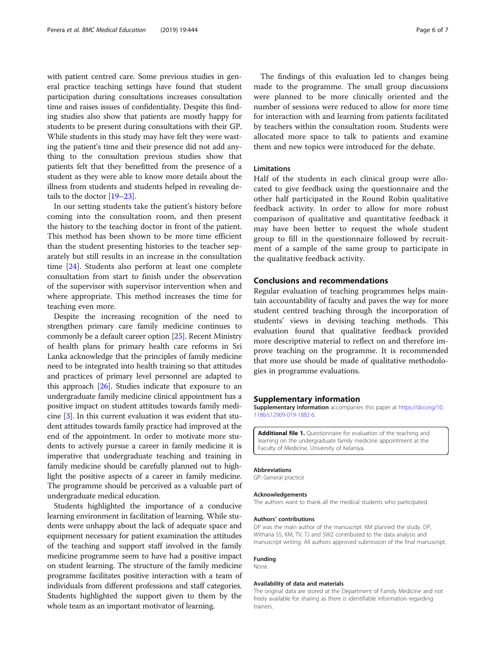<span id="page-5-0"></span>with patient centred care. Some previous studies in general practice teaching settings have found that student participation during consultations increases consultation time and raises issues of confidentiality. Despite this finding studies also show that patients are mostly happy for students to be present during consultations with their GP. While students in this study may have felt they were wasting the patient's time and their presence did not add anything to the consultation previous studies show that patients felt that they benefitted from the presence of a student as they were able to know more details about the illness from students and students helped in revealing details to the doctor [\[19](#page-6-0)–[23](#page-6-0)].

In our setting students take the patient's history before coming into the consultation room, and then present the history to the teaching doctor in front of the patient. This method has been shown to be more time efficient than the student presenting histories to the teacher separately but still results in an increase in the consultation time [\[24](#page-6-0)]. Students also perform at least one complete consultation from start to finish under the observation of the supervisor with supervisor intervention when and where appropriate. This method increases the time for teaching even more.

Despite the increasing recognition of the need to strengthen primary care family medicine continues to commonly be a default career option [\[25\]](#page-6-0). Recent Ministry of health plans for primary health care reforms in Sri Lanka acknowledge that the principles of family medicine need to be integrated into health training so that attitudes and practices of primary level personnel are adapted to this approach [\[26\]](#page-6-0). Studies indicate that exposure to an undergraduate family medicine clinical appointment has a positive impact on student attitudes towards family medicine [\[3](#page-6-0)]. In this current evaluation it was evident that student attitudes towards family practice had improved at the end of the appointment. In order to motivate more students to actively pursue a career in family medicine it is imperative that undergraduate teaching and training in family medicine should be carefully planned out to highlight the positive aspects of a career in family medicine. The programme should be perceived as a valuable part of undergraduate medical education.

Students highlighted the importance of a conducive learning environment in facilitation of learning. While students were unhappy about the lack of adequate space and equipment necessary for patient examination the attitudes of the teaching and support staff involved in the family medicine programme seem to have had a positive impact on student learning. The structure of the family medicine programme facilitates positive interaction with a team of individuals from different professions and staff categories. Students highlighted the support given to them by the whole team as an important motivator of learning.

The findings of this evaluation led to changes being made to the programme. The small group discussions were planned to be more clinically oriented and the number of sessions were reduced to allow for more time for interaction with and learning from patients facilitated by teachers within the consultation room. Students were allocated more space to talk to patients and examine them and new topics were introduced for the debate.

#### Limitations

Half of the students in each clinical group were allocated to give feedback using the questionnaire and the other half participated in the Round Robin qualitative feedback activity. In order to allow for more robust comparison of qualitative and quantitative feedback it may have been better to request the whole student group to fill in the questionnaire followed by recruitment of a sample of the same group to participate in the qualitative feedback activity.

## Conclusions and recommendations

Regular evaluation of teaching programmes helps maintain accountability of faculty and paves the way for more student centred teaching through the incorporation of students' views in devising teaching methods. This evaluation found that qualitative feedback provided more descriptive material to reflect on and therefore improve teaching on the programme. It is recommended that more use should be made of qualitative methodologies in programme evaluations.

#### Supplementary information

Supplementary information accompanies this paper at [https://doi.org/10.](https://doi.org/10.1186/s12909-019-1882-6) [1186/s12909-019-1882-6.](https://doi.org/10.1186/s12909-019-1882-6)

Additional file 1. Questionnaire for evaluation of the teaching and learning on the undergraduate family medicine appointment at the Faculty of Medicine, University of Kelaniya.

#### Abbreviations

GP: General practice

#### Acknowledgements

The authors want to thank all the medical students who participated.

#### Authors' contributions

DP was the main author of the manuscript. KM planned the study. DP, Withana SS, KM, TV, TJ and SW2 contributed to the data analysis and manuscript writing. All authors approved submission of the final manuscript.

#### Funding

None.

#### Availability of data and materials

The original data are stored at the Department of Family Medicine and not freely available for sharing as there is identifiable information regarding trainers.